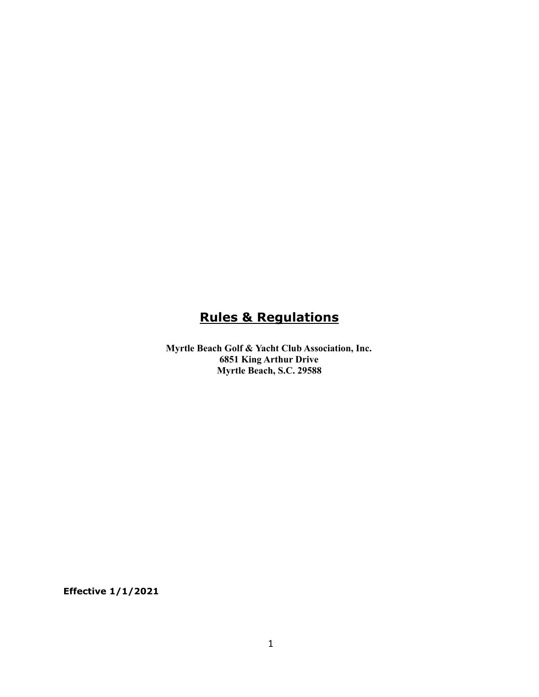# **Rules & Regulations**

**Myrtle Beach Golf & Yacht Club Association, Inc. 6851 King Arthur Drive Myrtle Beach, S.C. 29588**

**Effective 1/1/2021**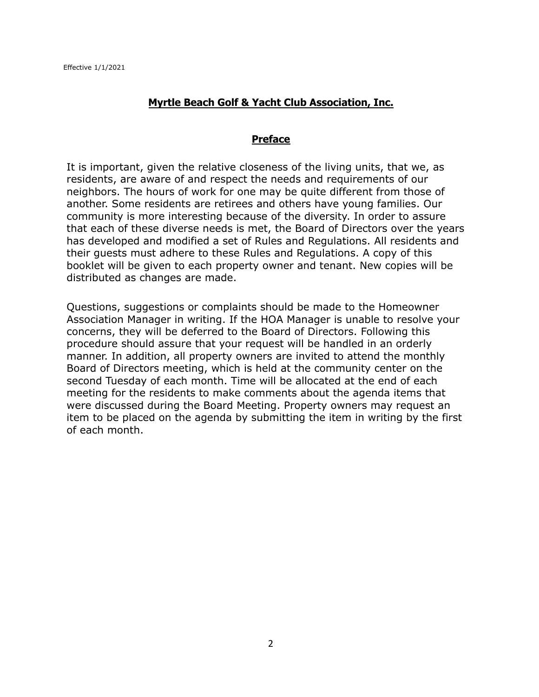#### **Myrtle Beach Golf & Yacht Club Association, Inc.**

#### **Preface**

It is important, given the relative closeness of the living units, that we, as residents, are aware of and respect the needs and requirements of our neighbors. The hours of work for one may be quite different from those of another. Some residents are retirees and others have young families. Our community is more interesting because of the diversity. In order to assure that each of these diverse needs is met, the Board of Directors over the years has developed and modified a set of Rules and Regulations. All residents and their guests must adhere to these Rules and Regulations. A copy of this booklet will be given to each property owner and tenant. New copies will be distributed as changes are made.

Questions, suggestions or complaints should be made to the Homeowner Association Manager in writing. If the HOA Manager is unable to resolve your concerns, they will be deferred to the Board of Directors. Following this procedure should assure that your request will be handled in an orderly manner. In addition, all property owners are invited to attend the monthly Board of Directors meeting, which is held at the community center on the second Tuesday of each month. Time will be allocated at the end of each meeting for the residents to make comments about the agenda items that were discussed during the Board Meeting. Property owners may request an item to be placed on the agenda by submitting the item in writing by the first of each month.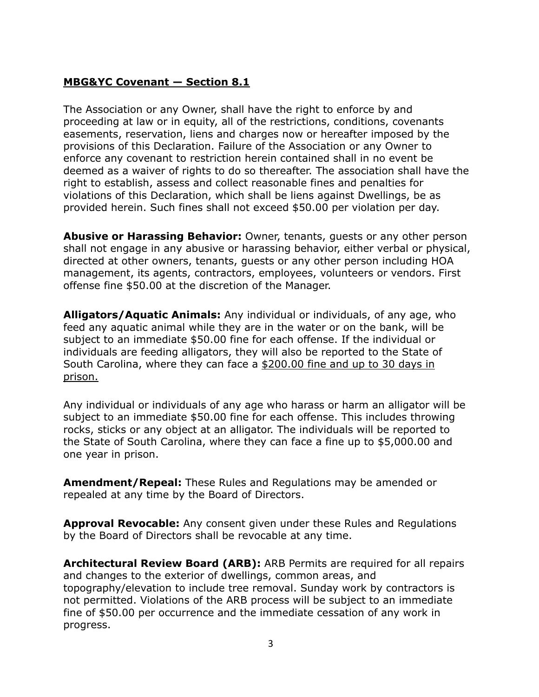# **MBG&YC Covenant — Section 8.1**

The Association or any Owner, shall have the right to enforce by and proceeding at law or in equity, all of the restrictions, conditions, covenants easements, reservation, liens and charges now or hereafter imposed by the provisions of this Declaration. Failure of the Association or any Owner to enforce any covenant to restriction herein contained shall in no event be deemed as a waiver of rights to do so thereafter. The association shall have the right to establish, assess and collect reasonable fines and penalties for violations of this Declaration, which shall be liens against Dwellings, be as provided herein. Such fines shall not exceed \$50.00 per violation per day.

**Abusive or Harassing Behavior:** Owner, tenants, guests or any other person shall not engage in any abusive or harassing behavior, either verbal or physical, directed at other owners, tenants, guests or any other person including HOA management, its agents, contractors, employees, volunteers or vendors. First offense fine \$50.00 at the discretion of the Manager.

**Alligators/Aquatic Animals:** Any individual or individuals, of any age, who feed any aquatic animal while they are in the water or on the bank, will be subject to an immediate \$50.00 fine for each offense. If the individual or individuals are feeding alligators, they will also be reported to the State of South Carolina, where they can face a \$200.00 fine and up to 30 days in prison.

Any individual or individuals of any age who harass or harm an alligator will be subject to an immediate \$50.00 fine for each offense. This includes throwing rocks, sticks or any object at an alligator. The individuals will be reported to the State of South Carolina, where they can face a fine up to \$5,000.00 and one year in prison.

**Amendment/Repeal:** These Rules and Regulations may be amended or repealed at any time by the Board of Directors.

**Approval Revocable:** Any consent given under these Rules and Regulations by the Board of Directors shall be revocable at any time.

**Architectural Review Board (ARB):** ARB Permits are required for all repairs and changes to the exterior of dwellings, common areas, and topography/elevation to include tree removal. Sunday work by contractors is not permitted. Violations of the ARB process will be subject to an immediate fine of \$50.00 per occurrence and the immediate cessation of any work in progress.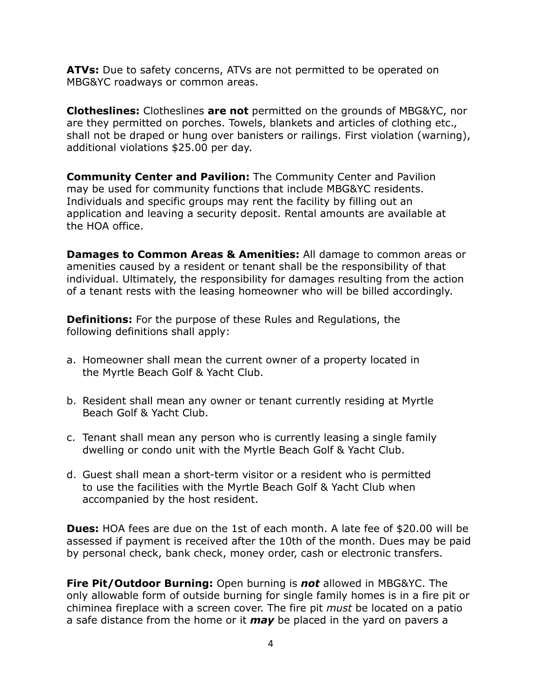**ATVs:** Due to safety concerns, ATVs are not permitted to be operated on MBG&YC roadways or common areas.

**Clotheslines:** Clotheslines **are not** permitted on the grounds of MBG&YC, nor are they permitted on porches. Towels, blankets and articles of clothing etc., shall not be draped or hung over banisters or railings. First violation (warning), additional violations \$25.00 per day.

**Community Center and Pavilion:** The Community Center and Pavilion may be used for community functions that include MBG&YC residents. Individuals and specific groups may rent the facility by filling out an application and leaving a security deposit. Rental amounts are available at the HOA office.

**Damages to Common Areas & Amenities:** All damage to common areas or amenities caused by a resident or tenant shall be the responsibility of that individual. Ultimately, the responsibility for damages resulting from the action of a tenant rests with the leasing homeowner who will be billed accordingly.

**Definitions:** For the purpose of these Rules and Regulations, the following definitions shall apply:

- a. Homeowner shall mean the current owner of a property located in the Myrtle Beach Golf & Yacht Club.
- b. Resident shall mean any owner or tenant currently residing at Myrtle Beach Golf & Yacht Club.
- c. Tenant shall mean any person who is currently leasing a single family dwelling or condo unit with the Myrtle Beach Golf & Yacht Club.
- d. Guest shall mean a short-term visitor or a resident who is permitted to use the facilities with the Myrtle Beach Golf & Yacht Club when accompanied by the host resident.

**Dues:** HOA fees are due on the 1st of each month. A late fee of \$20.00 will be assessed if payment is received after the 10th of the month. Dues may be paid by personal check, bank check, money order, cash or electronic transfers.

**Fire Pit/Outdoor Burning:** Open burning is *not* allowed in MBG&YC. The only allowable form of outside burning for single family homes is in a fire pit or chiminea fireplace with a screen cover. The fire pit *must* be located on a patio a safe distance from the home or it *may* be placed in the yard on pavers a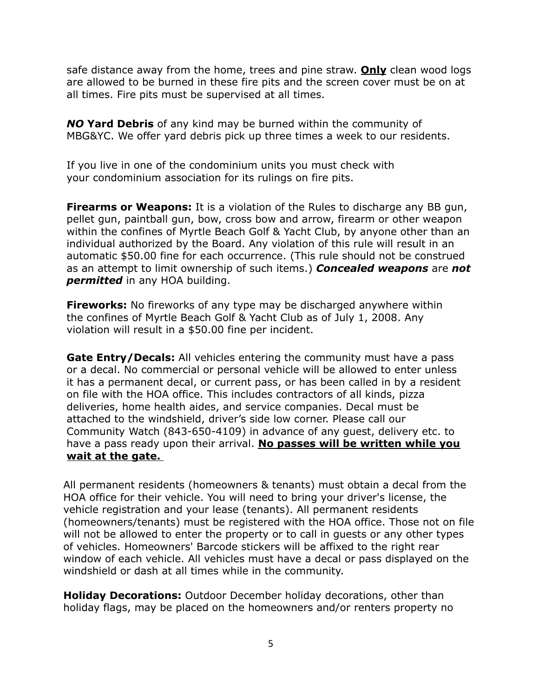safe distance away from the home, trees and pine straw. **Only** clean wood logs are allowed to be burned in these fire pits and the screen cover must be on at all times. Fire pits must be supervised at all times.

*NO* **Yard Debris** of any kind may be burned within the community of MBG&YC. We offer yard debris pick up three times a week to our residents.

If you live in one of the condominium units you must check with your condominium association for its rulings on fire pits.

**Firearms or Weapons:** It is a violation of the Rules to discharge any BB gun, pellet gun, paintball gun, bow, cross bow and arrow, firearm or other weapon within the confines of Myrtle Beach Golf & Yacht Club, by anyone other than an individual authorized by the Board. Any violation of this rule will result in an automatic \$50.00 fine for each occurrence. (This rule should not be construed as an attempt to limit ownership of such items.) *Concealed weapons* are *not permitted* in any HOA building.

**Fireworks:** No fireworks of any type may be discharged anywhere within the confines of Myrtle Beach Golf & Yacht Club as of July 1, 2008. Any violation will result in a \$50.00 fine per incident.

**Gate Entry/Decals:** All vehicles entering the community must have a pass or a decal. No commercial or personal vehicle will be allowed to enter unless it has a permanent decal, or current pass, or has been called in by a resident on file with the HOA office. This includes contractors of all kinds, pizza deliveries, home health aides, and service companies. Decal must be attached to the windshield, driver's side low corner. Please call our Community Watch (843-650-4109) in advance of any guest, delivery etc. to have a pass ready upon their arrival. **No passes will be written while you wait at the gate.**

All permanent residents (homeowners & tenants) must obtain a decal from the HOA office for their vehicle. You will need to bring your driver's license, the vehicle registration and your lease (tenants). All permanent residents (homeowners/tenants) must be registered with the HOA office. Those not on file will not be allowed to enter the property or to call in guests or any other types of vehicles. Homeowners' Barcode stickers will be affixed to the right rear window of each vehicle. All vehicles must have a decal or pass displayed on the windshield or dash at all times while in the community.

**Holiday Decorations:** Outdoor December holiday decorations, other than holiday flags, may be placed on the homeowners and/or renters property no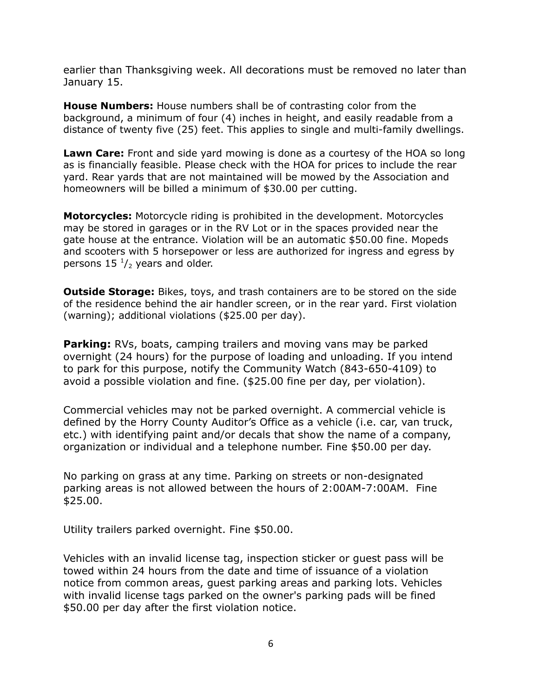earlier than Thanksgiving week. All decorations must be removed no later than January 15.

**House Numbers:** House numbers shall be of contrasting color from the background, a minimum of four (4) inches in height, and easily readable from a distance of twenty five (25) feet. This applies to single and multi-family dwellings.

**Lawn Care:** Front and side yard mowing is done as a courtesy of the HOA so long as is financially feasible. Please check with the HOA for prices to include the rear yard. Rear yards that are not maintained will be mowed by the Association and homeowners will be billed a minimum of \$30.00 per cutting.

**Motorcycles:** Motorcycle riding is prohibited in the development. Motorcycles may be stored in garages or in the RV Lot or in the spaces provided near the gate house at the entrance. Violation will be an automatic \$50.00 fine. Mopeds and scooters with 5 horsepower or less are authorized for ingress and egress by persons  $15<sup>1</sup>/<sub>2</sub>$  years and older.

**Outside Storage:** Bikes, toys, and trash containers are to be stored on the side of the residence behind the air handler screen, or in the rear yard. First violation (warning); additional violations (\$25.00 per day).

**Parking:** RVs, boats, camping trailers and moving vans may be parked overnight (24 hours) for the purpose of loading and unloading. If you intend to park for this purpose, notify the Community Watch (843-650-4109) to avoid a possible violation and fine. (\$25.00 fine per day, per violation).

Commercial vehicles may not be parked overnight. A commercial vehicle is defined by the Horry County Auditor's Office as a vehicle (i.e. car, van truck, etc.) with identifying paint and/or decals that show the name of a company, organization or individual and a telephone number. Fine \$50.00 per day.

No parking on grass at any time. Parking on streets or non-designated parking areas is not allowed between the hours of 2:00AM-7:00AM. Fine \$25.00.

Utility trailers parked overnight. Fine \$50.00.

Vehicles with an invalid license tag, inspection sticker or guest pass will be towed within 24 hours from the date and time of issuance of a violation notice from common areas, guest parking areas and parking lots. Vehicles with invalid license tags parked on the owner's parking pads will be fined \$50.00 per day after the first violation notice.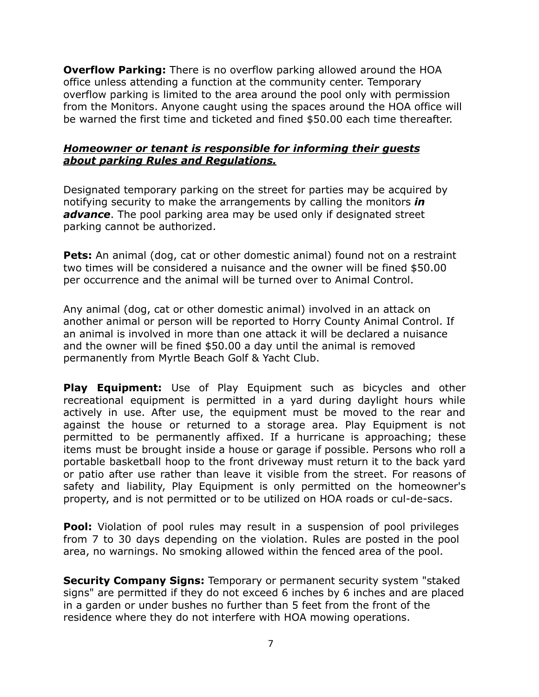**Overflow Parking:** There is no overflow parking allowed around the HOA office unless attending a function at the community center. Temporary overflow parking is limited to the area around the pool only with permission from the Monitors. Anyone caught using the spaces around the HOA office will be warned the first time and ticketed and fined \$50.00 each time thereafter.

## *Homeowner or tenant is responsible for informing their guests about parking Rules and Regulations.*

Designated temporary parking on the street for parties may be acquired by notifying security to make the arrangements by calling the monitors *in* advance. The pool parking area may be used only if designated street parking cannot be authorized.

**Pets:** An animal (dog, cat or other domestic animal) found not on a restraint two times will be considered a nuisance and the owner will be fined \$50.00 per occurrence and the animal will be turned over to Animal Control.

Any animal (dog, cat or other domestic animal) involved in an attack on another animal or person will be reported to Horry County Animal Control. If an animal is involved in more than one attack it will be declared a nuisance and the owner will be fined \$50.00 a day until the animal is removed permanently from Myrtle Beach Golf & Yacht Club.

**Play Equipment:** Use of Play Equipment such as bicycles and other recreational equipment is permitted in a yard during daylight hours while actively in use. After use, the equipment must be moved to the rear and against the house or returned to a storage area. Play Equipment is not permitted to be permanently affixed. If a hurricane is approaching; these items must be brought inside a house or garage if possible. Persons who roll a portable basketball hoop to the front driveway must return it to the back yard or patio after use rather than leave it visible from the street. For reasons of safety and liability, Play Equipment is only permitted on the homeowner's property, and is not permitted or to be utilized on HOA roads or cul-de-sacs.

**Pool:** Violation of pool rules may result in a suspension of pool privileges from 7 to 30 days depending on the violation. Rules are posted in the pool area, no warnings. No smoking allowed within the fenced area of the pool.

**Security Company Signs:** Temporary or permanent security system "staked signs" are permitted if they do not exceed 6 inches by 6 inches and are placed in a garden or under bushes no further than 5 feet from the front of the residence where they do not interfere with HOA mowing operations.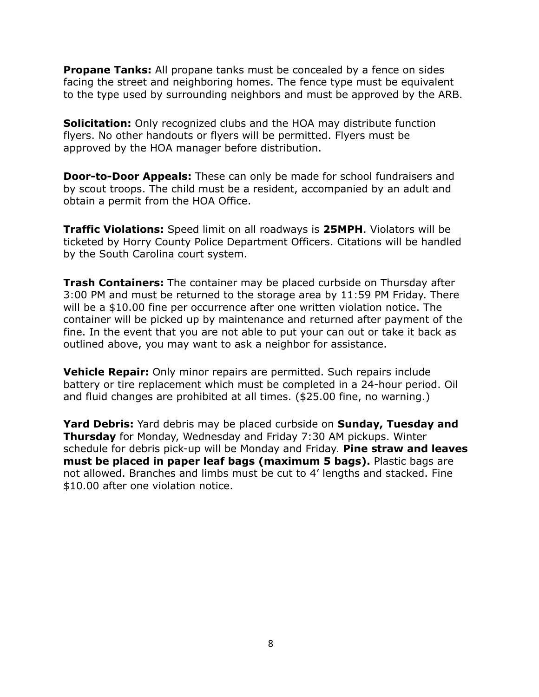**Propane Tanks:** All propane tanks must be concealed by a fence on sides facing the street and neighboring homes. The fence type must be equivalent to the type used by surrounding neighbors and must be approved by the ARB.

**Solicitation:** Only recognized clubs and the HOA may distribute function flyers. No other handouts or flyers will be permitted. Flyers must be approved by the HOA manager before distribution.

**Door-to-Door Appeals:** These can only be made for school fundraisers and by scout troops. The child must be a resident, accompanied by an adult and obtain a permit from the HOA Office.

**Traffic Violations:** Speed limit on all roadways is **25MPH**. Violators will be ticketed by Horry County Police Department Officers. Citations will be handled by the South Carolina court system.

**Trash Containers:** The container may be placed curbside on Thursday after 3:00 PM and must be returned to the storage area by 11:59 PM Friday. There will be a \$10.00 fine per occurrence after one written violation notice. The container will be picked up by maintenance and returned after payment of the fine. In the event that you are not able to put your can out or take it back as outlined above, you may want to ask a neighbor for assistance.

**Vehicle Repair:** Only minor repairs are permitted. Such repairs include battery or tire replacement which must be completed in a 24-hour period. Oil and fluid changes are prohibited at all times. (\$25.00 fine, no warning.)

**Yard Debris:** Yard debris may be placed curbside on **Sunday, Tuesday and Thursday** for Monday, Wednesday and Friday 7:30 AM pickups. Winter schedule for debris pick-up will be Monday and Friday. **Pine straw and leaves must be placed in paper leaf bags (maximum 5 bags).** Plastic bags are not allowed. Branches and limbs must be cut to 4' lengths and stacked. Fine \$10.00 after one violation notice.